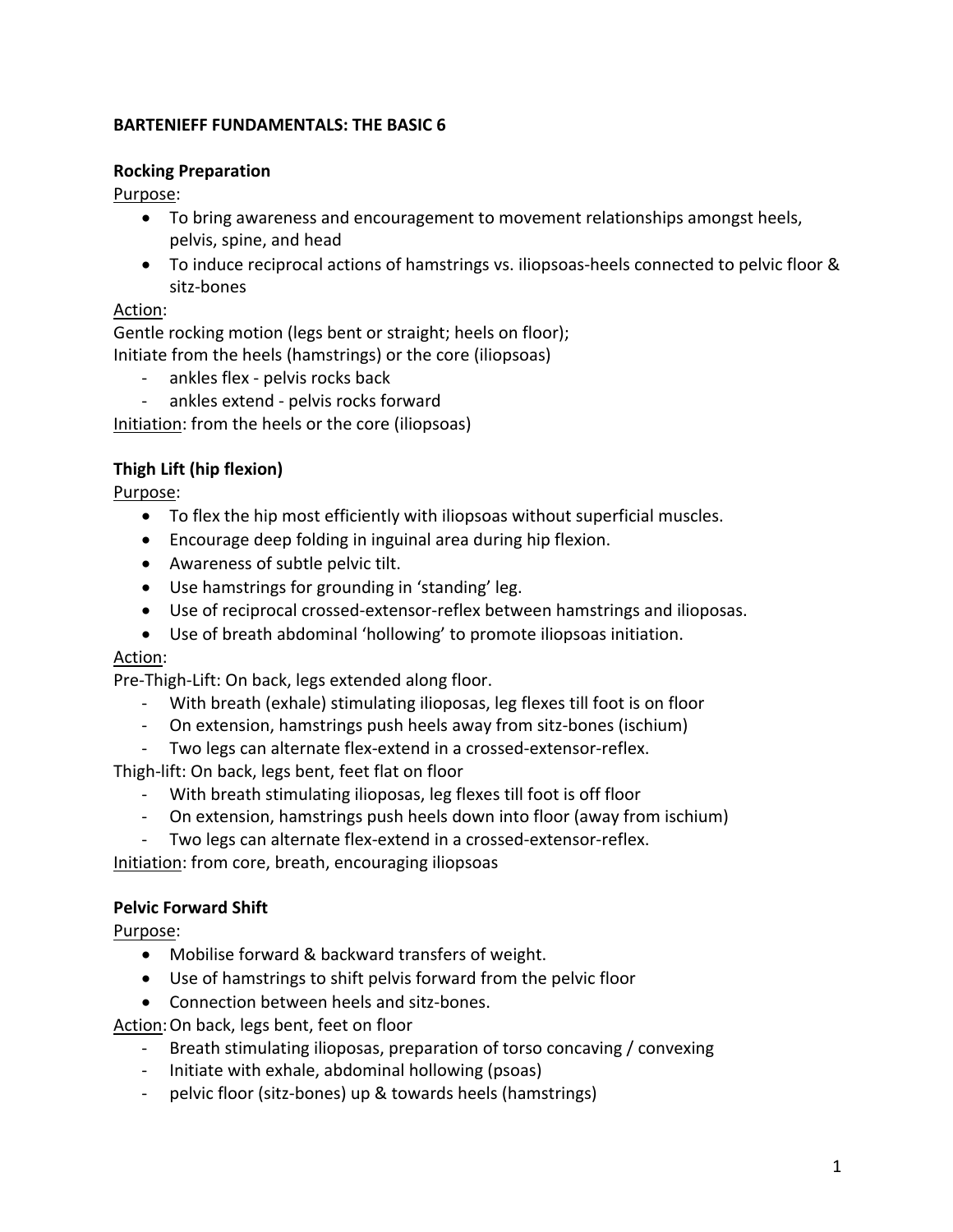### **BARTENIEFF FUNDAMENTALS: THE BASIC 6**

### **Rocking Preparation**

Purpose:

- To bring awareness and encouragement to movement relationships amongst heels, pelvis, spine, and head
- To induce reciprocal actions of hamstrings vs. iliopsoas-heels connected to pelvic floor & sitz-bones

## Action:

Gentle rocking motion (legs bent or straight; heels on floor); Initiate from the heels (hamstrings) or the core (iliopsoas)

- ankles flex pelvis rocks back
- ankles extend pelvis rocks forward

Initiation: from the heels or the core (iliopsoas)

# **Thigh Lift (hip flexion)**

Purpose:

- To flex the hip most efficiently with iliopsoas without superficial muscles.
- Encourage deep folding in inguinal area during hip flexion.
- Awareness of subtle pelvic tilt.
- Use hamstrings for grounding in 'standing' leg.
- Use of reciprocal crossed-extensor-reflex between hamstrings and ilioposas.
- Use of breath abdominal 'hollowing' to promote iliopsoas initiation.

## Action:

Pre-Thigh-Lift: On back, legs extended along floor.

- With breath (exhale) stimulating ilioposas, leg flexes till foot is on floor
- On extension, hamstrings push heels away from sitz-bones (ischium)
- Two legs can alternate flex-extend in a crossed-extensor-reflex.

Thigh-lift: On back, legs bent, feet flat on floor

- With breath stimulating ilioposas, leg flexes till foot is off floor
- On extension, hamstrings push heels down into floor (away from ischium)
- Two legs can alternate flex-extend in a crossed-extensor-reflex.

Initiation: from core, breath, encouraging iliopsoas

# **Pelvic Forward Shift**

Purpose:

- Mobilise forward & backward transfers of weight.
- Use of hamstrings to shift pelvis forward from the pelvic floor
- Connection between heels and sitz-bones.

Action:On back, legs bent, feet on floor

- Breath stimulating ilioposas, preparation of torso concaving / convexing
- Initiate with exhale, abdominal hollowing (psoas)
- pelvic floor (sitz-bones) up & towards heels (hamstrings)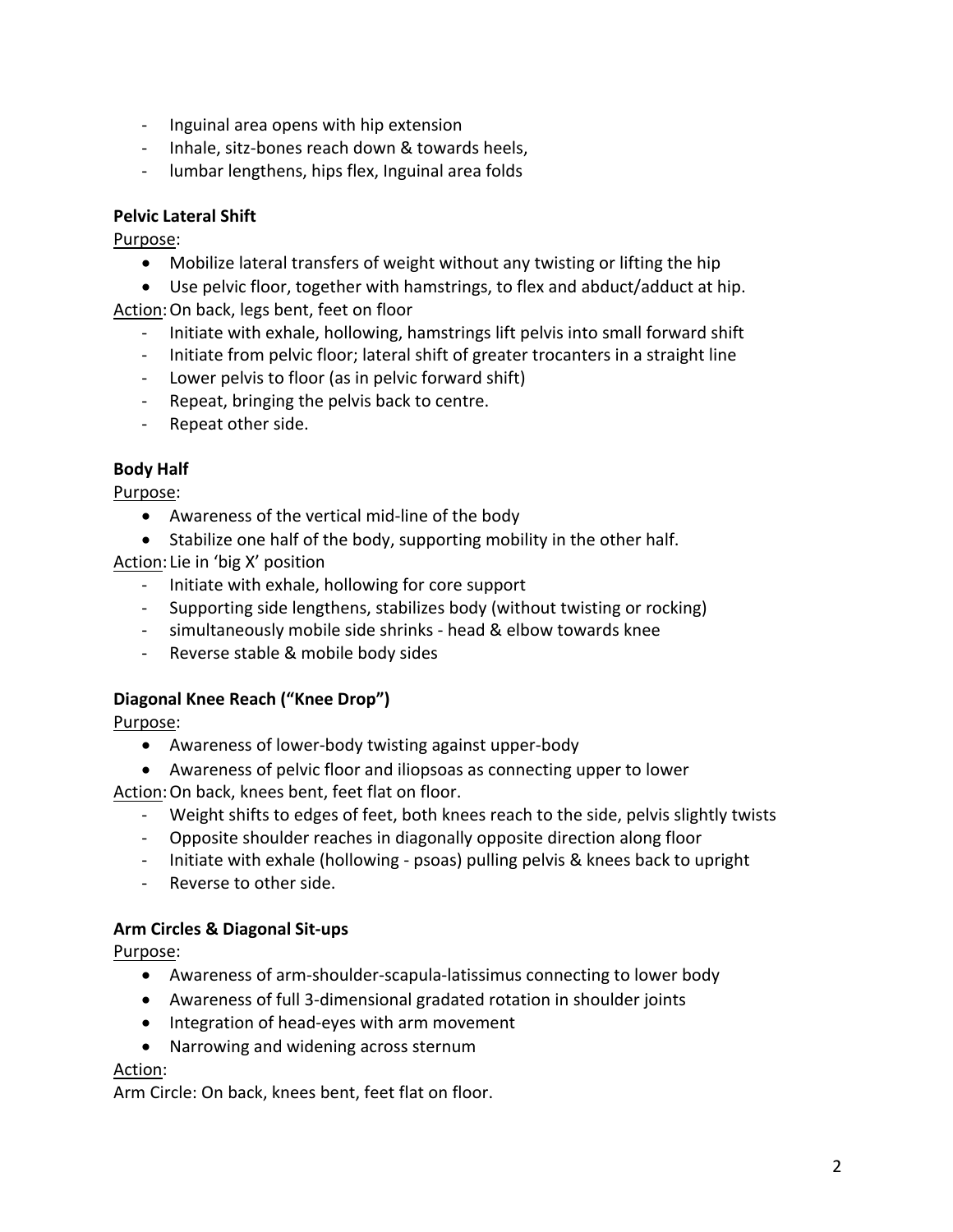- Inguinal area opens with hip extension
- Inhale, sitz-bones reach down & towards heels,
- lumbar lengthens, hips flex, Inguinal area folds

## **Pelvic Lateral Shift**

Purpose:

- Mobilize lateral transfers of weight without any twisting or lifting the hip
- Use pelvic floor, together with hamstrings, to flex and abduct/adduct at hip.

Action:On back, legs bent, feet on floor

- Initiate with exhale, hollowing, hamstrings lift pelvis into small forward shift
- Initiate from pelvic floor; lateral shift of greater trocanters in a straight line
- Lower pelvis to floor (as in pelvic forward shift)
- Repeat, bringing the pelvis back to centre.
- Repeat other side.

## **Body Half**

Purpose:

- Awareness of the vertical mid-line of the body
- Stabilize one half of the body, supporting mobility in the other half.

Action: Lie in 'big X' position

- Initiate with exhale, hollowing for core support
- Supporting side lengthens, stabilizes body (without twisting or rocking)
- simultaneously mobile side shrinks head & elbow towards knee
- Reverse stable & mobile body sides

## **Diagonal Knee Reach ("Knee Drop")**

Purpose:

- Awareness of lower-body twisting against upper-body
- Awareness of pelvic floor and iliopsoas as connecting upper to lower

Action:On back, knees bent, feet flat on floor.

- Weight shifts to edges of feet, both knees reach to the side, pelvis slightly twists
- Opposite shoulder reaches in diagonally opposite direction along floor
- Initiate with exhale (hollowing psoas) pulling pelvis & knees back to upright
- Reverse to other side.

## **Arm Circles & Diagonal Sit-ups**

Purpose:

- Awareness of arm-shoulder-scapula-latissimus connecting to lower body
- Awareness of full 3-dimensional gradated rotation in shoulder joints
- Integration of head-eyes with arm movement
- Narrowing and widening across sternum

### Action:

Arm Circle: On back, knees bent, feet flat on floor.